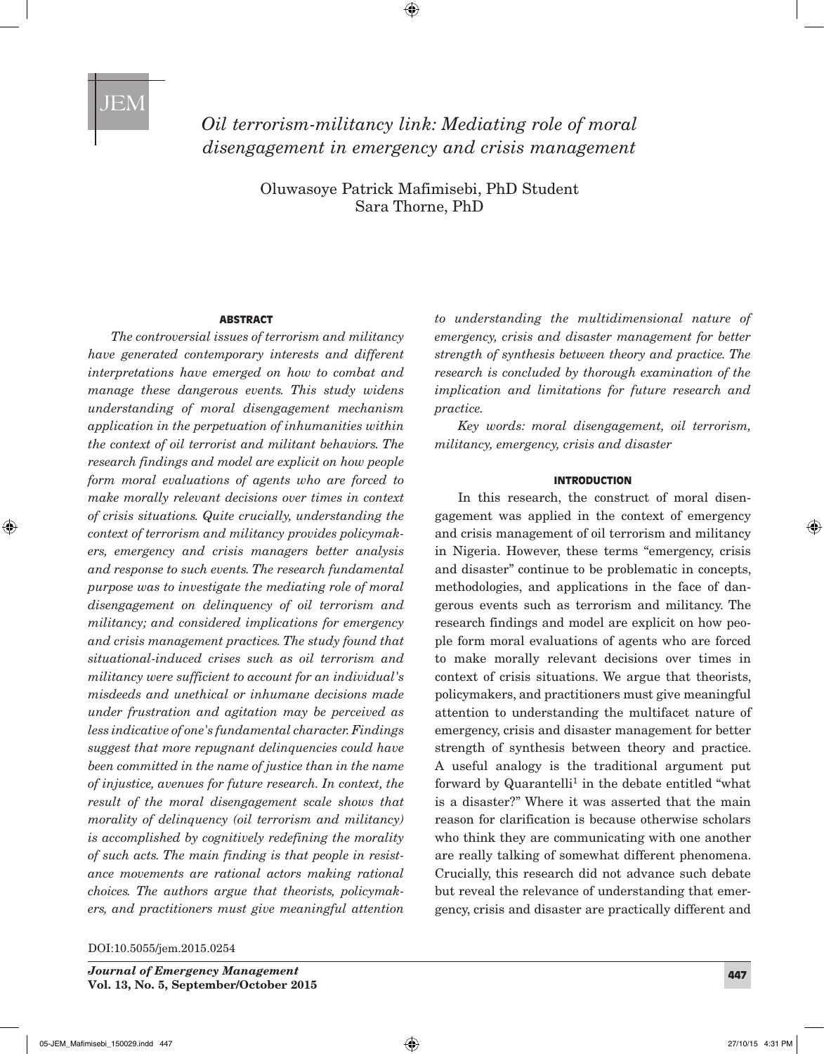# *Oil terrorism-militancy link: Mediating role of moral disengagement in emergency and crisis management*

Oluwasoye Patrick Mafimisebi, PhD Student Sara Thorne, PhD

#### **ABSTRACT**

*The controversial issues of terrorism and militancy have generated contemporary interests and different interpretations have emerged on how to combat and manage these dangerous events. This study widens understanding of moral disengagement mechanism application in the perpetuation of inhumanities within the context of oil terrorist and militant behaviors. The research findings and model are explicit on how people form moral evaluations of agents who are forced to make morally relevant decisions over times in context of crisis situations. Quite crucially, understanding the context of terrorism and militancy provides policymakers, emergency and crisis managers better analysis and response to such events. The research fundamental purpose was to investigate the mediating role of moral disengagement on delinquency of oil terrorism and militancy; and considered implications for emergency and crisis management practices. The study found that situational-induced crises such as oil terrorism and militancy were sufficient to account for an individual's misdeeds and unethical or inhumane decisions made under frustration and agitation may be perceived as less indicative of one's fundamental character. Findings suggest that more repugnant delinquencies could have been committed in the name of justice than in the name of injustice, avenues for future research. In context, the result of the moral disengagement scale shows that morality of delinquency (oil terrorism and militancy) is accomplished by cognitively redefining the morality of such acts. The main finding is that people in resistance movements are rational actors making rational choices. The authors argue that theorists, policymakers, and practitioners must give meaningful attention* 

DOI:10.5055/jem.2015.0254

*to understanding the multidimensional nature of emergency, crisis and disaster management for better strength of synthesis between theory and practice. The research is concluded by thorough examination of the implication and limitations for future research and practice.*

*Key words: moral disengagement, oil terrorism, militancy, emergency, crisis and disaster*

#### INTRODUCTION

In this research, the construct of moral disengagement was applied in the context of emergency and crisis management of oil terrorism and militancy in Nigeria. However, these terms "emergency, crisis and disaster" continue to be problematic in concepts, methodologies, and applications in the face of dangerous events such as terrorism and militancy. The research findings and model are explicit on how people form moral evaluations of agents who are forced to make morally relevant decisions over times in context of crisis situations. We argue that theorists, policymakers, and practitioners must give meaningful attention to understanding the multifacet nature of emergency, crisis and disaster management for better strength of synthesis between theory and practice. A useful analogy is the traditional argument put forward by Quarantelli<sup>1</sup> in the debate entitled "what is a disaster?" Where it was asserted that the main reason for clarification is because otherwise scholars who think they are communicating with one another are really talking of somewhat different phenomena. Crucially, this research did not advance such debate but reveal the relevance of understanding that emergency, crisis and disaster are practically different and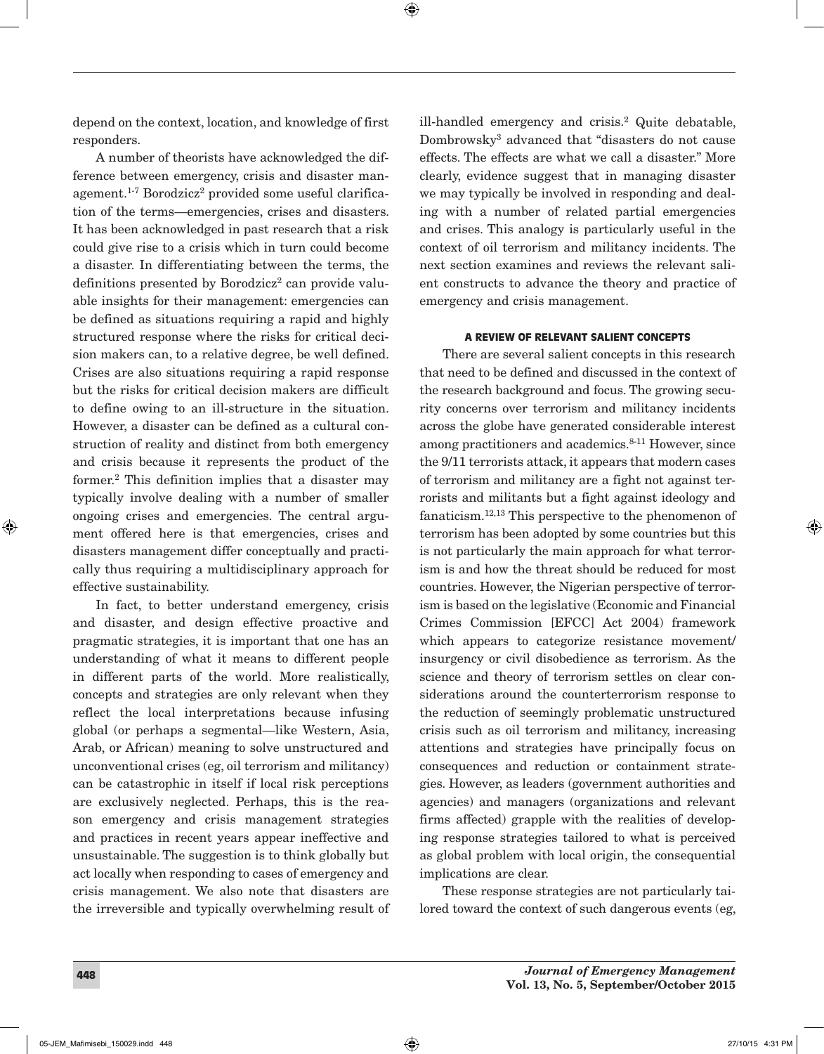depend on the context, location, and knowledge of first responders.

A number of theorists have acknowledged the difference between emergency, crisis and disaster management.<sup>1-7</sup> Borodzicz<sup>2</sup> provided some useful clarification of the terms—emergencies, crises and disasters. It has been acknowledged in past research that a risk could give rise to a crisis which in turn could become a disaster. In differentiating between the terms, the definitions presented by Borodzicz<sup>2</sup> can provide valuable insights for their management: emergencies can be defined as situations requiring a rapid and highly structured response where the risks for critical decision makers can, to a relative degree, be well defined. Crises are also situations requiring a rapid response but the risks for critical decision makers are difficult to define owing to an ill-structure in the situation. However, a disaster can be defined as a cultural construction of reality and distinct from both emergency and crisis because it represents the product of the former.2 This definition implies that a disaster may typically involve dealing with a number of smaller ongoing crises and emergencies. The central argument offered here is that emergencies, crises and disasters management differ conceptually and practically thus requiring a multidisciplinary approach for effective sustainability.

In fact, to better understand emergency, crisis and disaster, and design effective proactive and pragmatic strategies, it is important that one has an understanding of what it means to different people in different parts of the world. More realistically, concepts and strategies are only relevant when they reflect the local interpretations because infusing global (or perhaps a segmental—like Western, Asia, Arab, or African) meaning to solve unstructured and unconventional crises (eg, oil terrorism and militancy) can be catastrophic in itself if local risk perceptions are exclusively neglected. Perhaps, this is the reason emergency and crisis management strategies and practices in recent years appear ineffective and unsustainable. The suggestion is to think globally but act locally when responding to cases of emergency and crisis management. We also note that disasters are the irreversible and typically overwhelming result of ill-handled emergency and crisis.2 Quite debatable, Dombrowsky3 advanced that "disasters do not cause effects. The effects are what we call a disaster." More clearly, evidence suggest that in managing disaster we may typically be involved in responding and dealing with a number of related partial emergencies and crises. This analogy is particularly useful in the context of oil terrorism and militancy incidents. The next section examines and reviews the relevant salient constructs to advance the theory and practice of emergency and crisis management.

### A REVIEW OF RELEVANT SALIENT CONCEPTS

There are several salient concepts in this research that need to be defined and discussed in the context of the research background and focus. The growing security concerns over terrorism and militancy incidents across the globe have generated considerable interest among practitioners and academics.8-11 However, since the 9/11 terrorists attack, it appears that modern cases of terrorism and militancy are a fight not against terrorists and militants but a fight against ideology and fanaticism.12,13 This perspective to the phenomenon of terrorism has been adopted by some countries but this is not particularly the main approach for what terrorism is and how the threat should be reduced for most countries. However, the Nigerian perspective of terrorism is based on the legislative (Economic and Financial Crimes Commission [EFCC] Act 2004) framework which appears to categorize resistance movement/ insurgency or civil disobedience as terrorism. As the science and theory of terrorism settles on clear considerations around the counterterrorism response to the reduction of seemingly problematic unstructured crisis such as oil terrorism and militancy, increasing attentions and strategies have principally focus on consequences and reduction or containment strategies. However, as leaders (government authorities and agencies) and managers (organizations and relevant firms affected) grapple with the realities of developing response strategies tailored to what is perceived as global problem with local origin, the consequential implications are clear.

These response strategies are not particularly tailored toward the context of such dangerous events (eg,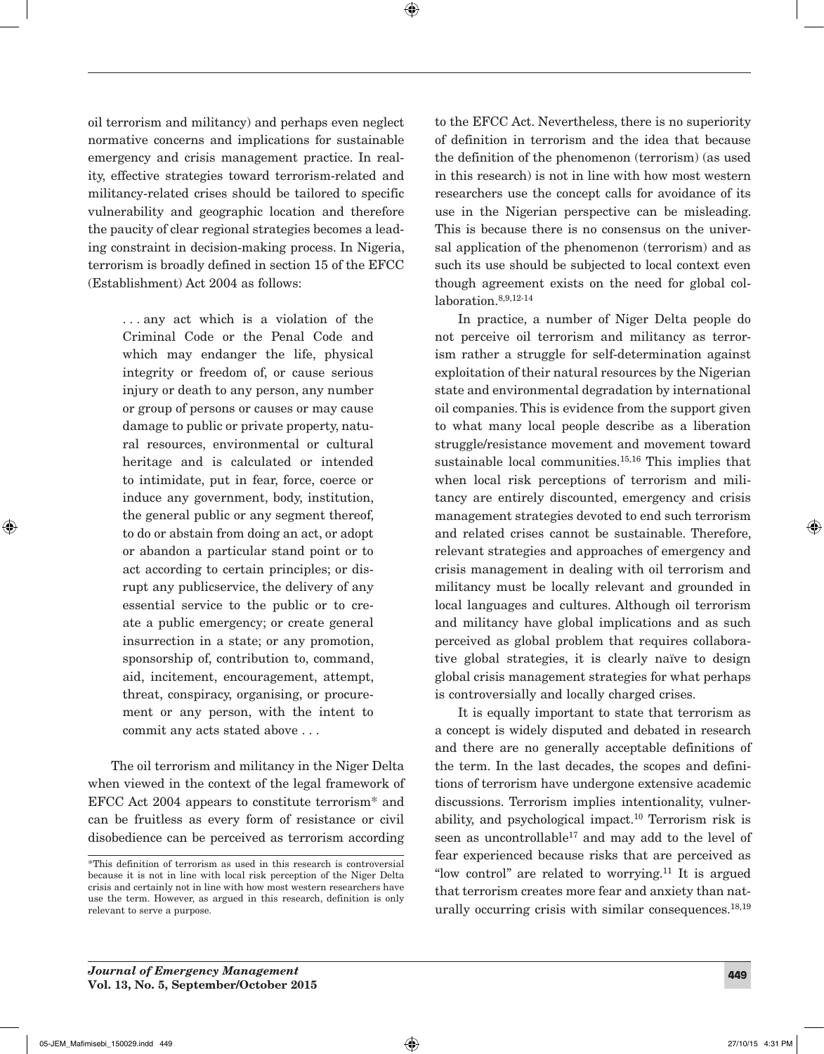oil terrorism and militancy) and perhaps even neglect normative concerns and implications for sustainable emergency and crisis management practice. In reality, effective strategies toward terrorism-related and militancy-related crises should be tailored to specific vulnerability and geographic location and therefore the paucity of clear regional strategies becomes a leading constraint in decision-making process. In Nigeria, terrorism is broadly defined in section 15 of the EFCC (Establishment) Act 2004 as follows:

> . . . any act which is a violation of the Criminal Code or the Penal Code and which may endanger the life, physical integrity or freedom of, or cause serious injury or death to any person, any number or group of persons or causes or may cause damage to public or private property, natural resources, environmental or cultural heritage and is calculated or intended to intimidate, put in fear, force, coerce or induce any government, body, institution, the general public or any segment thereof, to do or abstain from doing an act, or adopt or abandon a particular stand point or to act according to certain principles; or disrupt any publicservice, the delivery of any essential service to the public or to create a public emergency; or create general insurrection in a state; or any promotion, sponsorship of, contribution to, command, aid, incitement, encouragement, attempt, threat, conspiracy, organising, or procurement or any person, with the intent to commit any acts stated above . . .

The oil terrorism and militancy in the Niger Delta when viewed in the context of the legal framework of EFCC Act 2004 appears to constitute terrorism\* and can be fruitless as every form of resistance or civil disobedience can be perceived as terrorism according to the EFCC Act. Nevertheless, there is no superiority of definition in terrorism and the idea that because the definition of the phenomenon (terrorism) (as used in this research) is not in line with how most western researchers use the concept calls for avoidance of its use in the Nigerian perspective can be misleading. This is because there is no consensus on the universal application of the phenomenon (terrorism) and as such its use should be subjected to local context even though agreement exists on the need for global collaboration.8,9,12-14

In practice, a number of Niger Delta people do not perceive oil terrorism and militancy as terrorism rather a struggle for self-determination against exploitation of their natural resources by the Nigerian state and environmental degradation by international oil companies. This is evidence from the support given to what many local people describe as a liberation struggle/resistance movement and movement toward sustainable local communities.15,16 This implies that when local risk perceptions of terrorism and militancy are entirely discounted, emergency and crisis management strategies devoted to end such terrorism and related crises cannot be sustainable. Therefore, relevant strategies and approaches of emergency and crisis management in dealing with oil terrorism and militancy must be locally relevant and grounded in local languages and cultures. Although oil terrorism and militancy have global implications and as such perceived as global problem that requires collaborative global strategies, it is clearly naïve to design global crisis management strategies for what perhaps is controversially and locally charged crises.

It is equally important to state that terrorism as a concept is widely disputed and debated in research and there are no generally acceptable definitions of the term. In the last decades, the scopes and definitions of terrorism have undergone extensive academic discussions. Terrorism implies intentionality, vulnerability, and psychological impact.10 Terrorism risk is seen as uncontrollable<sup>17</sup> and may add to the level of fear experienced because risks that are perceived as "low control" are related to worrying. $11$  It is argued that terrorism creates more fear and anxiety than naturally occurring crisis with similar consequences.<sup>18,19</sup>

<sup>\*</sup>This definition of terrorism as used in this research is controversial because it is not in line with local risk perception of the Niger Delta crisis and certainly not in line with how most western researchers have use the term. However, as argued in this research, definition is only relevant to serve a purpose.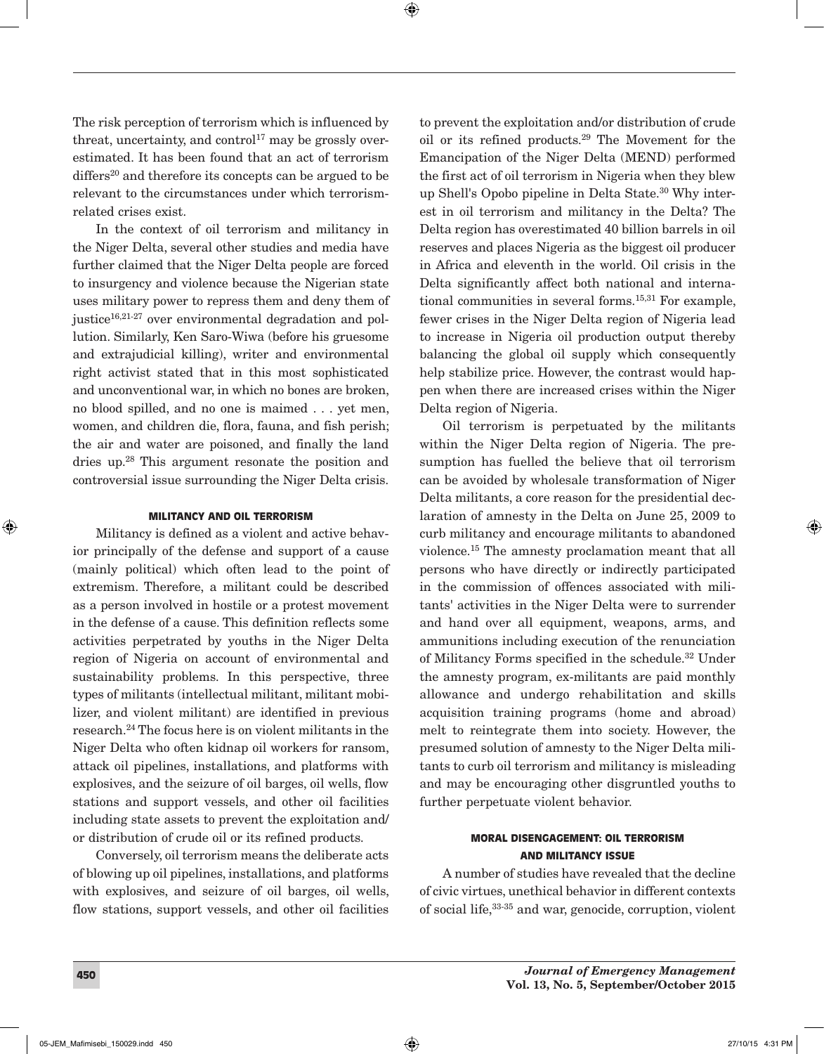The risk perception of terrorism which is influenced by threat, uncertainty, and control<sup>17</sup> may be grossly overestimated. It has been found that an act of terrorism  $differs<sup>20</sup>$  and therefore its concepts can be argued to be relevant to the circumstances under which terrorismrelated crises exist.

In the context of oil terrorism and militancy in the Niger Delta, several other studies and media have further claimed that the Niger Delta people are forced to insurgency and violence because the Nigerian state uses military power to repress them and deny them of justice $16,21-27$  over environmental degradation and pollution. Similarly, Ken Saro-Wiwa (before his gruesome and extrajudicial killing), writer and environmental right activist stated that in this most sophisticated and unconventional war, in which no bones are broken, no blood spilled, and no one is maimed . . . yet men, women, and children die, flora, fauna, and fish perish; the air and water are poisoned, and finally the land dries up.28 This argument resonate the position and controversial issue surrounding the Niger Delta crisis.

#### MILITANCY AND OIL TERRORISM

Militancy is defined as a violent and active behavior principally of the defense and support of a cause (mainly political) which often lead to the point of extremism. Therefore, a militant could be described as a person involved in hostile or a protest movement in the defense of a cause. This definition reflects some activities perpetrated by youths in the Niger Delta region of Nigeria on account of environmental and sustainability problems. In this perspective, three types of militants (intellectual militant, militant mobilizer, and violent militant) are identified in previous research.24 The focus here is on violent militants in the Niger Delta who often kidnap oil workers for ransom, attack oil pipelines, installations, and platforms with explosives, and the seizure of oil barges, oil wells, flow stations and support vessels, and other oil facilities including state assets to prevent the exploitation and/ or distribution of crude oil or its refined products.

Conversely, oil terrorism means the deliberate acts of blowing up oil pipelines, installations, and platforms with explosives, and seizure of oil barges, oil wells, flow stations, support vessels, and other oil facilities to prevent the exploitation and/or distribution of crude oil or its refined products.29 The Movement for the Emancipation of the Niger Delta (MEND) performed the first act of oil terrorism in Nigeria when they blew up Shell's Opobo pipeline in Delta State.30 Why interest in oil terrorism and militancy in the Delta? The Delta region has overestimated 40 billion barrels in oil reserves and places Nigeria as the biggest oil producer in Africa and eleventh in the world. Oil crisis in the Delta significantly affect both national and international communities in several forms.<sup>15,31</sup> For example, fewer crises in the Niger Delta region of Nigeria lead to increase in Nigeria oil production output thereby balancing the global oil supply which consequently help stabilize price. However, the contrast would happen when there are increased crises within the Niger Delta region of Nigeria.

Oil terrorism is perpetuated by the militants within the Niger Delta region of Nigeria. The presumption has fuelled the believe that oil terrorism can be avoided by wholesale transformation of Niger Delta militants, a core reason for the presidential declaration of amnesty in the Delta on June 25, 2009 to curb militancy and encourage militants to abandoned violence.15 The amnesty proclamation meant that all persons who have directly or indirectly participated in the commission of offences associated with militants' activities in the Niger Delta were to surrender and hand over all equipment, weapons, arms, and ammunitions including execution of the renunciation of Militancy Forms specified in the schedule.<sup>32</sup> Under the amnesty program, ex-militants are paid monthly allowance and undergo rehabilitation and skills acquisition training programs (home and abroad) melt to reintegrate them into society. However, the presumed solution of amnesty to the Niger Delta militants to curb oil terrorism and militancy is misleading and may be encouraging other disgruntled youths to further perpetuate violent behavior.

### MORAL DISENGAGEMENT: OIL TERRORISM AND MILITANCY ISSUE

A number of studies have revealed that the decline of civic virtues, unethical behavior in different contexts of social life,33-35 and war, genocide, corruption, violent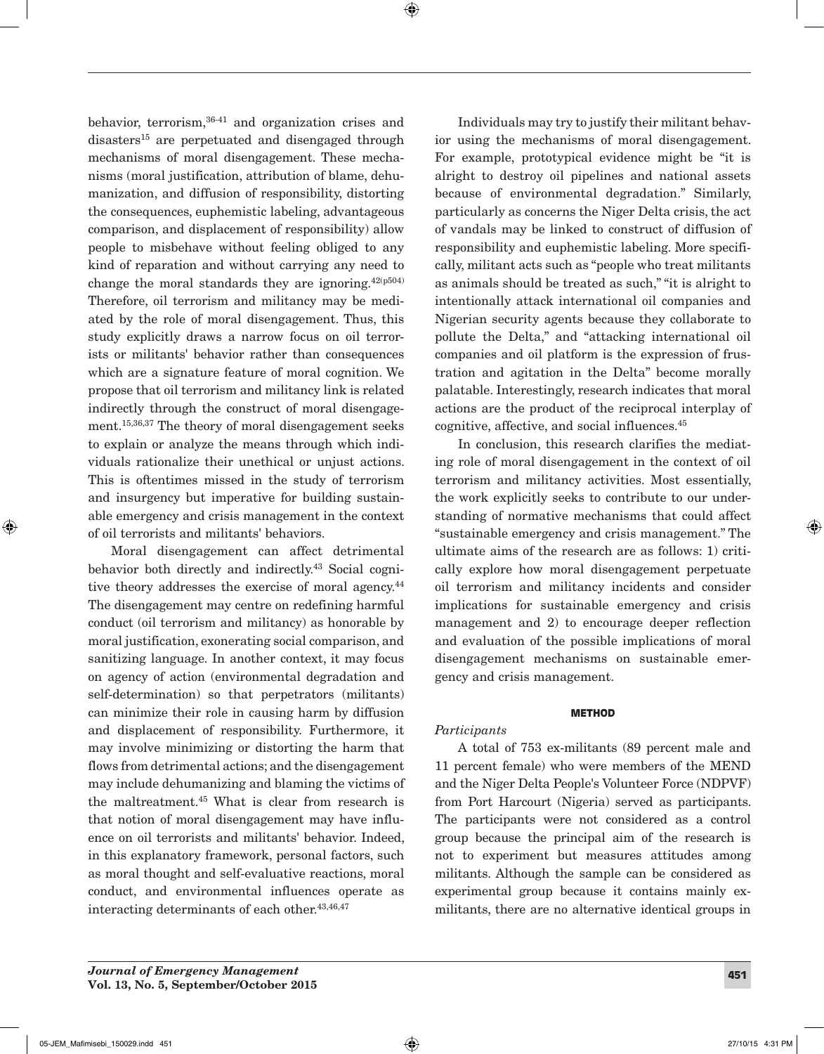behavior, terrorism, 36-41 and organization crises and disasters<sup>15</sup> are perpetuated and disengaged through mechanisms of moral disengagement. These mechanisms (moral justification, attribution of blame, dehumanization, and diffusion of responsibility, distorting the consequences, euphemistic labeling, advantageous comparison, and displacement of responsibility) allow people to misbehave without feeling obliged to any kind of reparation and without carrying any need to change the moral standards they are ignoring.  $42(p504)$ Therefore, oil terrorism and militancy may be mediated by the role of moral disengagement. Thus, this study explicitly draws a narrow focus on oil terrorists or militants' behavior rather than consequences which are a signature feature of moral cognition. We propose that oil terrorism and militancy link is related indirectly through the construct of moral disengagement.15,36,37 The theory of moral disengagement seeks to explain or analyze the means through which individuals rationalize their unethical or unjust actions. This is oftentimes missed in the study of terrorism and insurgency but imperative for building sustainable emergency and crisis management in the context of oil terrorists and militants' behaviors.

Moral disengagement can affect detrimental behavior both directly and indirectly.43 Social cognitive theory addresses the exercise of moral agency.<sup>44</sup> The disengagement may centre on redefining harmful conduct (oil terrorism and militancy) as honorable by moral justification, exonerating social comparison, and sanitizing language. In another context, it may focus on agency of action (environmental degradation and self-determination) so that perpetrators (militants) can minimize their role in causing harm by diffusion and displacement of responsibility. Furthermore, it may involve minimizing or distorting the harm that flows from detrimental actions; and the disengagement may include dehumanizing and blaming the victims of the maltreatment.45 What is clear from research is that notion of moral disengagement may have influence on oil terrorists and militants' behavior. Indeed, in this explanatory framework, personal factors, such as moral thought and self-evaluative reactions, moral conduct, and environmental influences operate as interacting determinants of each other.<sup>43,46,47</sup>

Individuals may try to justify their militant behavior using the mechanisms of moral disengagement. For example, prototypical evidence might be "it is alright to destroy oil pipelines and national assets because of environmental degradation." Similarly, particularly as concerns the Niger Delta crisis, the act of vandals may be linked to construct of diffusion of responsibility and euphemistic labeling. More specifically, militant acts such as "people who treat militants as animals should be treated as such," "it is alright to intentionally attack international oil companies and Nigerian security agents because they collaborate to pollute the Delta," and "attacking international oil companies and oil platform is the expression of frustration and agitation in the Delta" become morally palatable. Interestingly, research indicates that moral actions are the product of the reciprocal interplay of cognitive, affective, and social influences.45

In conclusion, this research clarifies the mediating role of moral disengagement in the context of oil terrorism and militancy activities. Most essentially, the work explicitly seeks to contribute to our understanding of normative mechanisms that could affect "sustainable emergency and crisis management." The ultimate aims of the research are as follows: 1) critically explore how moral disengagement perpetuate oil terrorism and militancy incidents and consider implications for sustainable emergency and crisis management and 2) to encourage deeper reflection and evaluation of the possible implications of moral disengagement mechanisms on sustainable emergency and crisis management.

### **METHOD**

### *Participants*

A total of 753 ex-militants (89 percent male and 11 percent female) who were members of the MEND and the Niger Delta People's Volunteer Force (NDPVF) from Port Harcourt (Nigeria) served as participants. The participants were not considered as a control group because the principal aim of the research is not to experiment but measures attitudes among militants. Although the sample can be considered as experimental group because it contains mainly exmilitants, there are no alternative identical groups in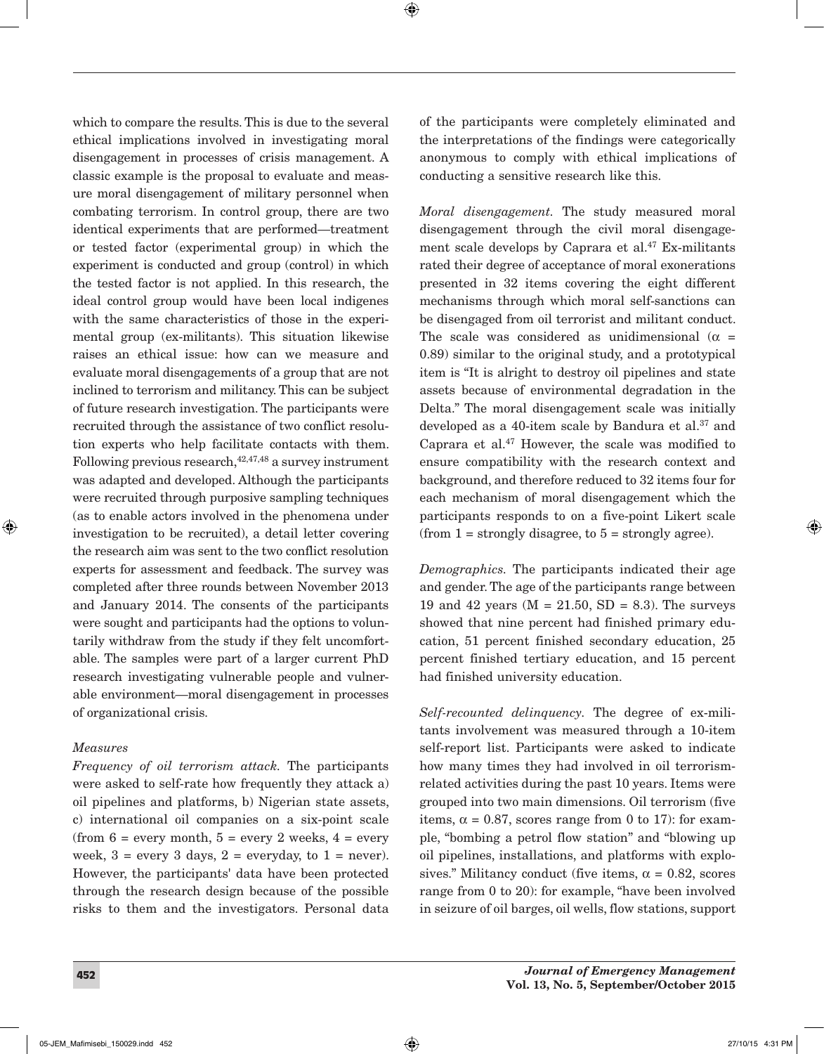which to compare the results. This is due to the several ethical implications involved in investigating moral disengagement in processes of crisis management. A classic example is the proposal to evaluate and measure moral disengagement of military personnel when combating terrorism. In control group, there are two identical experiments that are performed—treatment or tested factor (experimental group) in which the experiment is conducted and group (control) in which the tested factor is not applied. In this research, the ideal control group would have been local indigenes with the same characteristics of those in the experimental group (ex-militants). This situation likewise raises an ethical issue: how can we measure and evaluate moral disengagements of a group that are not inclined to terrorism and militancy. This can be subject of future research investigation. The participants were recruited through the assistance of two conflict resolution experts who help facilitate contacts with them. Following previous research,  $42,47,48$  a survey instrument was adapted and developed. Although the participants were recruited through purposive sampling techniques (as to enable actors involved in the phenomena under investigation to be recruited), a detail letter covering the research aim was sent to the two conflict resolution experts for assessment and feedback. The survey was completed after three rounds between November 2013 and January 2014. The consents of the participants were sought and participants had the options to voluntarily withdraw from the study if they felt uncomfortable. The samples were part of a larger current PhD research investigating vulnerable people and vulnerable environment—moral disengagement in processes of organizational crisis.

### *Measures*

*Frequency of oil terrorism attack.* The participants were asked to self-rate how frequently they attack a) oil pipelines and platforms, b) Nigerian state assets, c) international oil companies on a six-point scale (from  $6 =$  every month,  $5 =$  every 2 weeks,  $4 =$  every week,  $3 =$  every 3 days,  $2 =$  everyday, to  $1 =$  never). However, the participants' data have been protected through the research design because of the possible risks to them and the investigators. Personal data

of the participants were completely eliminated and the interpretations of the findings were categorically anonymous to comply with ethical implications of conducting a sensitive research like this.

*Moral disengagement.* The study measured moral disengagement through the civil moral disengagement scale develops by Caprara et  $al^{47}$  Ex-militants rated their degree of acceptance of moral exonerations presented in 32 items covering the eight different mechanisms through which moral self-sanctions can be disengaged from oil terrorist and militant conduct. The scale was considered as unidimensional ( $\alpha$  = 0.89) similar to the original study, and a prototypical item is "It is alright to destroy oil pipelines and state assets because of environmental degradation in the Delta." The moral disengagement scale was initially developed as a 40-item scale by Bandura et al.<sup>37</sup> and Caprara et al.47 However, the scale was modified to ensure compatibility with the research context and background, and therefore reduced to 32 items four for each mechanism of moral disengagement which the participants responds to on a five-point Likert scale (from  $1 =$  strongly disagree, to  $5 =$  strongly agree).

*Demographics.* The participants indicated their age and gender. The age of the participants range between 19 and 42 years ( $M = 21.50$ ,  $SD = 8.3$ ). The surveys showed that nine percent had finished primary education, 51 percent finished secondary education, 25 percent finished tertiary education, and 15 percent had finished university education.

*Self-recounted delinquency.* The degree of ex-militants involvement was measured through a 10-item self-report list. Participants were asked to indicate how many times they had involved in oil terrorismrelated activities during the past 10 years. Items were grouped into two main dimensions. Oil terrorism (five items,  $\alpha = 0.87$ , scores range from 0 to 17): for example, "bombing a petrol flow station" and "blowing up oil pipelines, installations, and platforms with explosives." Militancy conduct (five items,  $\alpha = 0.82$ , scores range from 0 to 20): for example, "have been involved in seizure of oil barges, oil wells, flow stations, support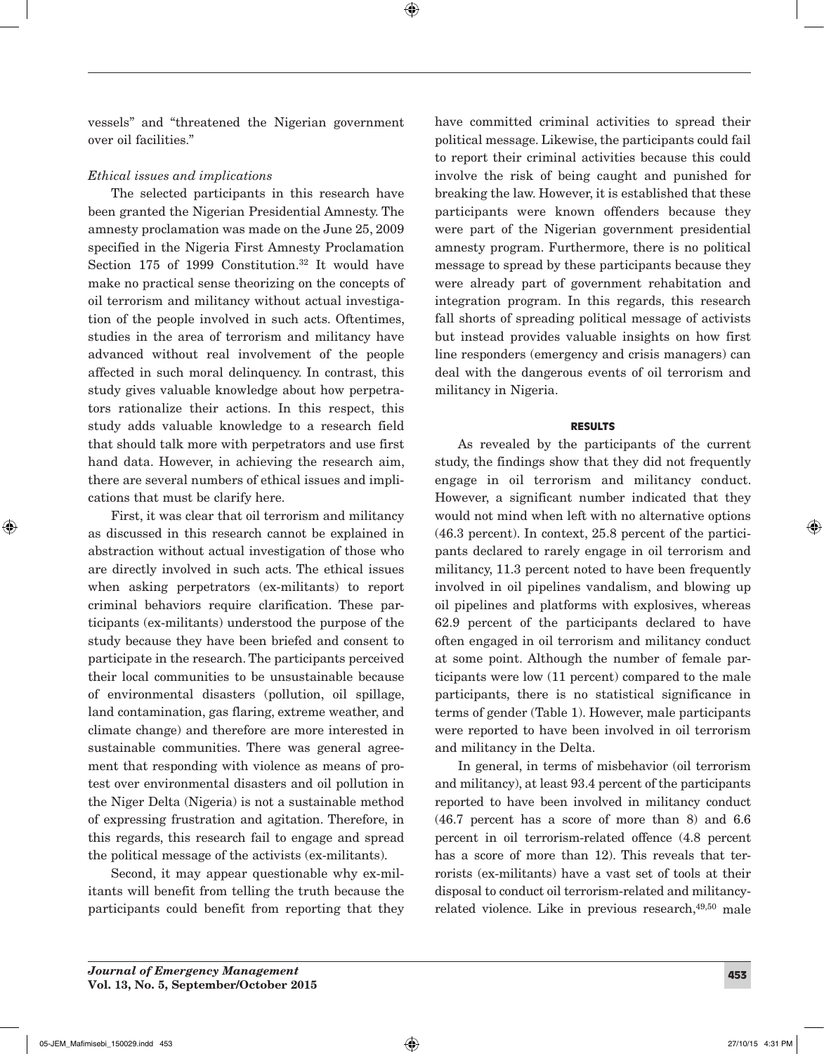vessels" and "threatened the Nigerian government over oil facilities."

## *Ethical issues and implications*

The selected participants in this research have been granted the Nigerian Presidential Amnesty. The amnesty proclamation was made on the June 25, 2009 specified in the Nigeria First Amnesty Proclamation Section 175 of 1999 Constitution.<sup>32</sup> It would have make no practical sense theorizing on the concepts of oil terrorism and militancy without actual investigation of the people involved in such acts. Oftentimes, studies in the area of terrorism and militancy have advanced without real involvement of the people affected in such moral delinquency. In contrast, this study gives valuable knowledge about how perpetrators rationalize their actions. In this respect, this study adds valuable knowledge to a research field that should talk more with perpetrators and use first hand data. However, in achieving the research aim, there are several numbers of ethical issues and implications that must be clarify here.

First, it was clear that oil terrorism and militancy as discussed in this research cannot be explained in abstraction without actual investigation of those who are directly involved in such acts. The ethical issues when asking perpetrators (ex-militants) to report criminal behaviors require clarification. These participants (ex-militants) understood the purpose of the study because they have been briefed and consent to participate in the research. The participants perceived their local communities to be unsustainable because of environmental disasters (pollution, oil spillage, land contamination, gas flaring, extreme weather, and climate change) and therefore are more interested in sustainable communities. There was general agreement that responding with violence as means of protest over environmental disasters and oil pollution in the Niger Delta (Nigeria) is not a sustainable method of expressing frustration and agitation. Therefore, in this regards, this research fail to engage and spread the political message of the activists (ex-militants).

Second, it may appear questionable why ex-militants will benefit from telling the truth because the participants could benefit from reporting that they have committed criminal activities to spread their political message. Likewise, the participants could fail to report their criminal activities because this could involve the risk of being caught and punished for breaking the law. However, it is established that these participants were known offenders because they were part of the Nigerian government presidential amnesty program. Furthermore, there is no political message to spread by these participants because they were already part of government rehabitation and integration program. In this regards, this research fall shorts of spreading political message of activists but instead provides valuable insights on how first line responders (emergency and crisis managers) can deal with the dangerous events of oil terrorism and militancy in Nigeria.

### RESULTS

As revealed by the participants of the current study, the findings show that they did not frequently engage in oil terrorism and militancy conduct. However, a significant number indicated that they would not mind when left with no alternative options (46.3 percent). In context, 25.8 percent of the participants declared to rarely engage in oil terrorism and militancy, 11.3 percent noted to have been frequently involved in oil pipelines vandalism, and blowing up oil pipelines and platforms with explosives, whereas 62.9 percent of the participants declared to have often engaged in oil terrorism and militancy conduct at some point. Although the number of female participants were low (11 percent) compared to the male participants, there is no statistical significance in terms of gender (Table 1). However, male participants were reported to have been involved in oil terrorism and militancy in the Delta.

In general, in terms of misbehavior (oil terrorism and militancy), at least 93.4 percent of the participants reported to have been involved in militancy conduct (46.7 percent has a score of more than 8) and 6.6 percent in oil terrorism-related offence (4.8 percent has a score of more than 12). This reveals that terrorists (ex-militants) have a vast set of tools at their disposal to conduct oil terrorism-related and militancyrelated violence. Like in previous research,<sup>49,50</sup> male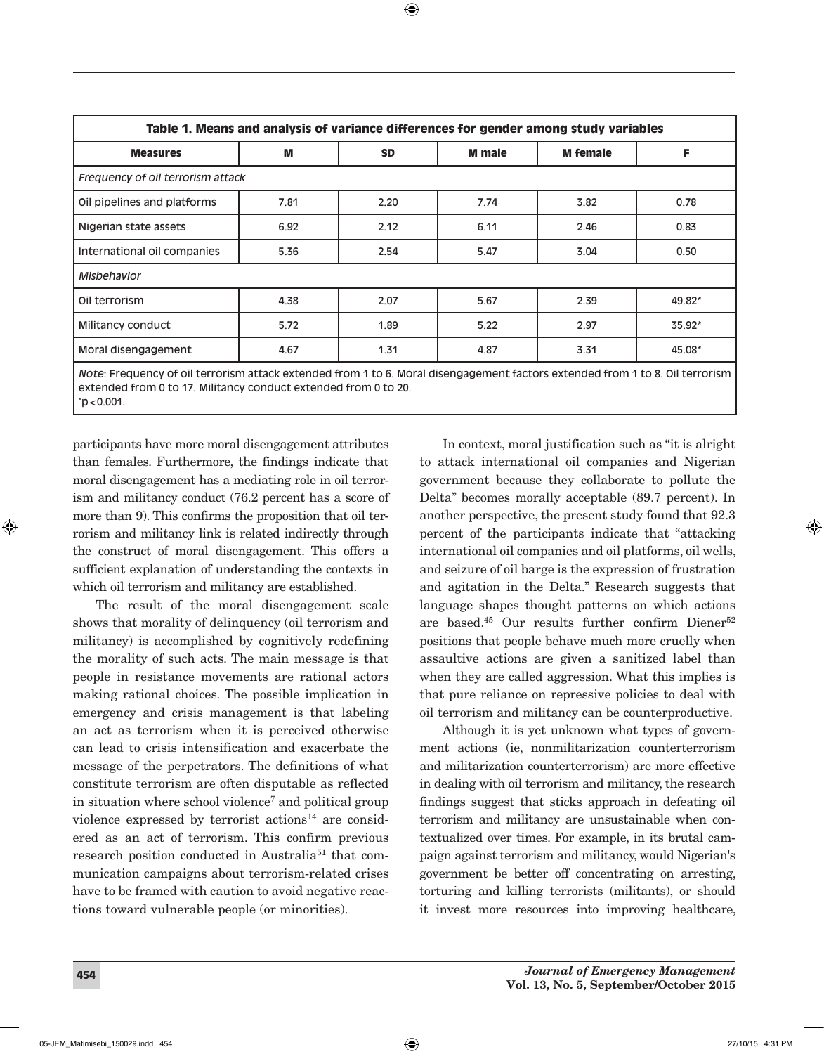| Table 1. Means and analysis of variance differences for gender among study variables |      |           |               |                 |        |
|--------------------------------------------------------------------------------------|------|-----------|---------------|-----------------|--------|
| <b>Measures</b>                                                                      | M    | <b>SD</b> | <b>M</b> male | <b>M</b> female | F      |
| Frequency of oil terrorism attack                                                    |      |           |               |                 |        |
| Oil pipelines and platforms                                                          | 7.81 | 2.20      | 7.74          | 3.82            | 0.78   |
| Nigerian state assets                                                                | 6.92 | 2.12      | 6.11          | 2.46            | 0.83   |
| International oil companies                                                          | 5.36 | 2.54      | 5.47          | 3.04            | 0.50   |
| Misbehavior                                                                          |      |           |               |                 |        |
| Oil terrorism                                                                        | 4.38 | 2.07      | 5.67          | 2.39            | 49.82* |
| Militancy conduct                                                                    | 5.72 | 1.89      | 5.22          | 2.97            | 35.92* |
| Moral disengagement                                                                  | 4.67 | 1.31      | 4.87          | 3.31            | 45.08* |

*Note*: Frequency of oil terrorism attack extended from 1 to 6. Moral disengagement factors extended from 1 to 8. Oil terrorism extended from 0 to 17. Militancy conduct extended from 0 to 20. \* p<0.001.

participants have more moral disengagement attributes than females. Furthermore, the findings indicate that moral disengagement has a mediating role in oil terrorism and militancy conduct (76.2 percent has a score of more than 9). This confirms the proposition that oil terrorism and militancy link is related indirectly through the construct of moral disengagement. This offers a sufficient explanation of understanding the contexts in which oil terrorism and militancy are established.

The result of the moral disengagement scale shows that morality of delinquency (oil terrorism and militancy) is accomplished by cognitively redefining the morality of such acts. The main message is that people in resistance movements are rational actors making rational choices. The possible implication in emergency and crisis management is that labeling an act as terrorism when it is perceived otherwise can lead to crisis intensification and exacerbate the message of the perpetrators. The definitions of what constitute terrorism are often disputable as reflected in situation where school violence7 and political group violence expressed by terrorist actions<sup>14</sup> are considered as an act of terrorism. This confirm previous research position conducted in Australia<sup>51</sup> that communication campaigns about terrorism-related crises have to be framed with caution to avoid negative reactions toward vulnerable people (or minorities).

In context, moral justification such as "it is alright to attack international oil companies and Nigerian government because they collaborate to pollute the Delta" becomes morally acceptable (89.7 percent). In another perspective, the present study found that 92.3 percent of the participants indicate that "attacking international oil companies and oil platforms, oil wells, and seizure of oil barge is the expression of frustration and agitation in the Delta." Research suggests that language shapes thought patterns on which actions are based.<sup>45</sup> Our results further confirm Diener<sup>52</sup> positions that people behave much more cruelly when assaultive actions are given a sanitized label than when they are called aggression. What this implies is that pure reliance on repressive policies to deal with oil terrorism and militancy can be counterproductive.

Although it is yet unknown what types of government actions (ie, nonmilitarization counterterrorism and militarization counterterrorism) are more effective in dealing with oil terrorism and militancy, the research findings suggest that sticks approach in defeating oil terrorism and militancy are unsustainable when contextualized over times. For example, in its brutal campaign against terrorism and militancy, would Nigerian's government be better off concentrating on arresting, torturing and killing terrorists (militants), or should it invest more resources into improving healthcare,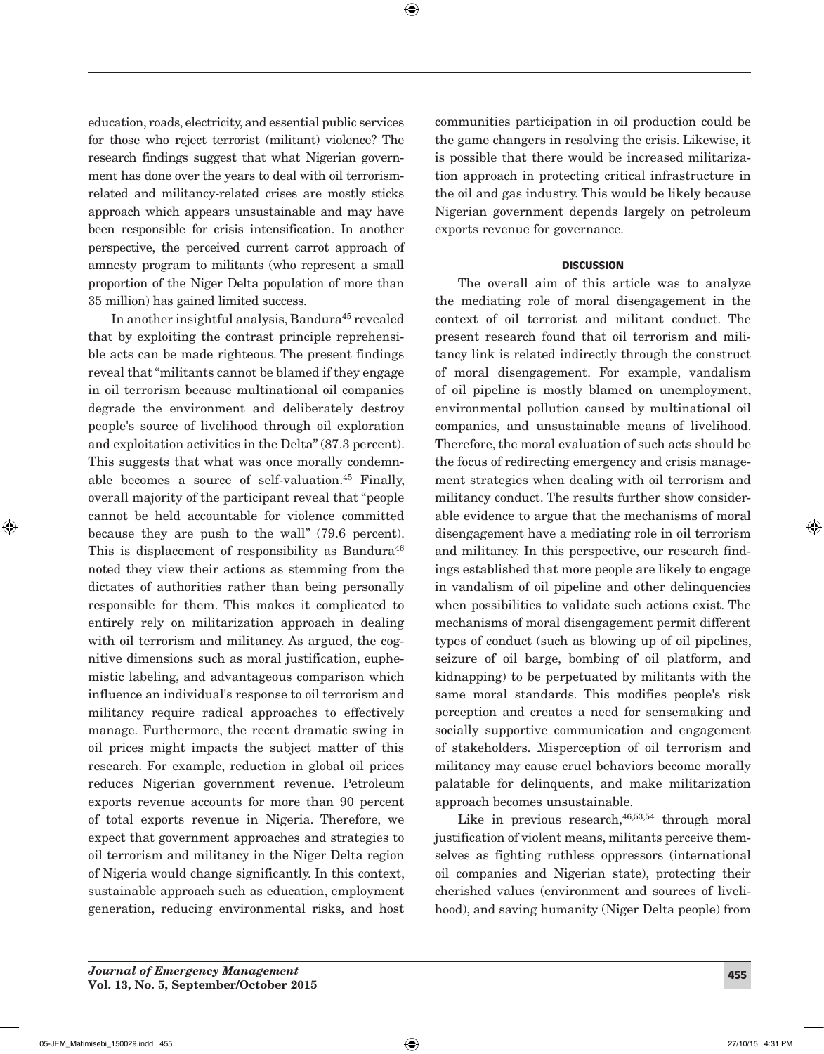education, roads, electricity, and essential public services for those who reject terrorist (militant) violence? The research findings suggest that what Nigerian government has done over the years to deal with oil terrorismrelated and militancy-related crises are mostly sticks approach which appears unsustainable and may have been responsible for crisis intensification. In another perspective, the perceived current carrot approach of amnesty program to militants (who represent a small proportion of the Niger Delta population of more than 35 million) has gained limited success.

In another insightful analysis, Bandura<sup>45</sup> revealed that by exploiting the contrast principle reprehensible acts can be made righteous. The present findings reveal that "militants cannot be blamed if they engage in oil terrorism because multinational oil companies degrade the environment and deliberately destroy people's source of livelihood through oil exploration and exploitation activities in the Delta" (87.3 percent). This suggests that what was once morally condemnable becomes a source of self-valuation.45 Finally, overall majority of the participant reveal that "people cannot be held accountable for violence committed because they are push to the wall" (79.6 percent). This is displacement of responsibility as Bandura<sup>46</sup> noted they view their actions as stemming from the dictates of authorities rather than being personally responsible for them. This makes it complicated to entirely rely on militarization approach in dealing with oil terrorism and militancy. As argued, the cognitive dimensions such as moral justification, euphemistic labeling, and advantageous comparison which influence an individual's response to oil terrorism and militancy require radical approaches to effectively manage. Furthermore, the recent dramatic swing in oil prices might impacts the subject matter of this research. For example, reduction in global oil prices reduces Nigerian government revenue. Petroleum exports revenue accounts for more than 90 percent of total exports revenue in Nigeria. Therefore, we expect that government approaches and strategies to oil terrorism and militancy in the Niger Delta region of Nigeria would change significantly. In this context, sustainable approach such as education, employment generation, reducing environmental risks, and host

communities participation in oil production could be the game changers in resolving the crisis. Likewise, it is possible that there would be increased militarization approach in protecting critical infrastructure in the oil and gas industry. This would be likely because Nigerian government depends largely on petroleum exports revenue for governance.

#### **DISCUSSION**

The overall aim of this article was to analyze the mediating role of moral disengagement in the context of oil terrorist and militant conduct. The present research found that oil terrorism and militancy link is related indirectly through the construct of moral disengagement. For example, vandalism of oil pipeline is mostly blamed on unemployment, environmental pollution caused by multinational oil companies, and unsustainable means of livelihood. Therefore, the moral evaluation of such acts should be the focus of redirecting emergency and crisis management strategies when dealing with oil terrorism and militancy conduct. The results further show considerable evidence to argue that the mechanisms of moral disengagement have a mediating role in oil terrorism and militancy. In this perspective, our research findings established that more people are likely to engage in vandalism of oil pipeline and other delinquencies when possibilities to validate such actions exist. The mechanisms of moral disengagement permit different types of conduct (such as blowing up of oil pipelines, seizure of oil barge, bombing of oil platform, and kidnapping) to be perpetuated by militants with the same moral standards. This modifies people's risk perception and creates a need for sensemaking and socially supportive communication and engagement of stakeholders. Misperception of oil terrorism and militancy may cause cruel behaviors become morally palatable for delinquents, and make militarization approach becomes unsustainable.

Like in previous research,  $46,53,54$  through moral justification of violent means, militants perceive themselves as fighting ruthless oppressors (international oil companies and Nigerian state), protecting their cherished values (environment and sources of livelihood), and saving humanity (Niger Delta people) from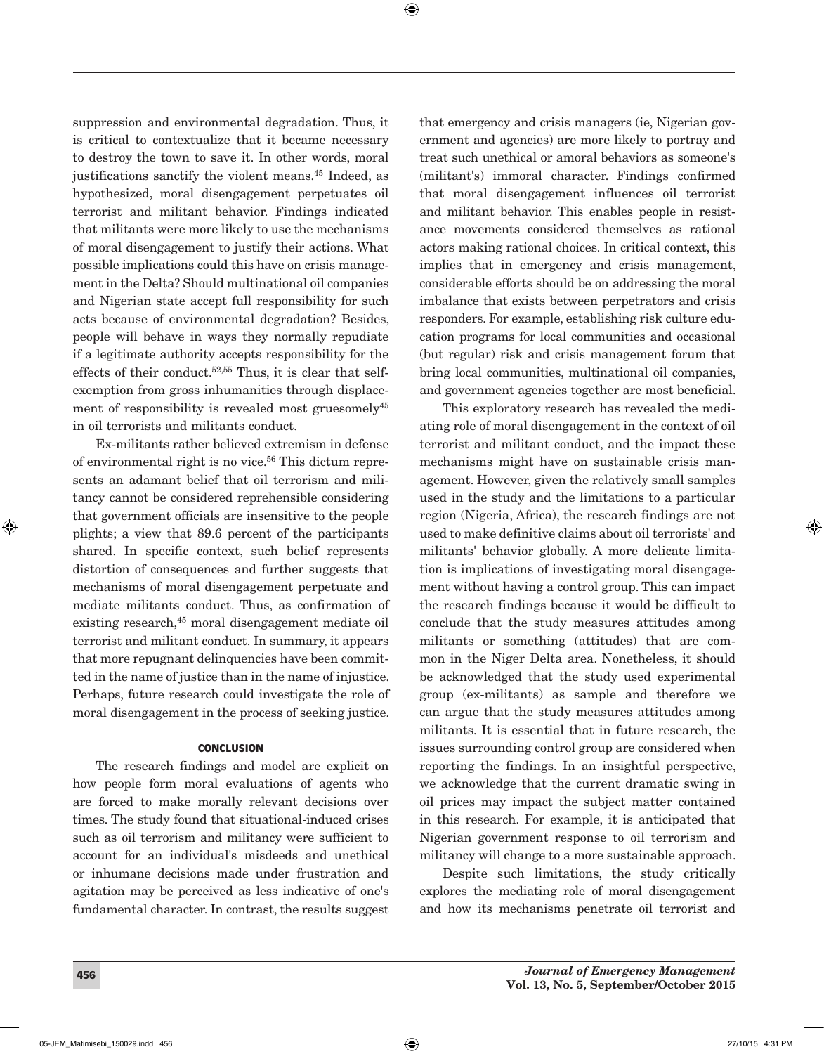suppression and environmental degradation. Thus, it is critical to contextualize that it became necessary to destroy the town to save it. In other words, moral justifications sanctify the violent means.45 Indeed, as hypothesized, moral disengagement perpetuates oil terrorist and militant behavior. Findings indicated that militants were more likely to use the mechanisms of moral disengagement to justify their actions. What possible implications could this have on crisis management in the Delta? Should multinational oil companies and Nigerian state accept full responsibility for such acts because of environmental degradation? Besides, people will behave in ways they normally repudiate if a legitimate authority accepts responsibility for the effects of their conduct.<sup>52,55</sup> Thus, it is clear that selfexemption from gross inhumanities through displacement of responsibility is revealed most gruesomely<sup>45</sup> in oil terrorists and militants conduct.

Ex-militants rather believed extremism in defense of environmental right is no vice.<sup>56</sup> This dictum represents an adamant belief that oil terrorism and militancy cannot be considered reprehensible considering that government officials are insensitive to the people plights; a view that 89.6 percent of the participants shared. In specific context, such belief represents distortion of consequences and further suggests that mechanisms of moral disengagement perpetuate and mediate militants conduct. Thus, as confirmation of existing research,<sup>45</sup> moral disengagement mediate oil terrorist and militant conduct. In summary, it appears that more repugnant delinquencies have been committed in the name of justice than in the name of injustice. Perhaps, future research could investigate the role of moral disengagement in the process of seeking justice.

#### **CONCLUSION**

The research findings and model are explicit on how people form moral evaluations of agents who are forced to make morally relevant decisions over times. The study found that situational-induced crises such as oil terrorism and militancy were sufficient to account for an individual's misdeeds and unethical or inhumane decisions made under frustration and agitation may be perceived as less indicative of one's fundamental character. In contrast, the results suggest that emergency and crisis managers (ie, Nigerian government and agencies) are more likely to portray and treat such unethical or amoral behaviors as someone's (militant's) immoral character. Findings confirmed that moral disengagement influences oil terrorist and militant behavior. This enables people in resistance movements considered themselves as rational actors making rational choices. In critical context, this implies that in emergency and crisis management, considerable efforts should be on addressing the moral imbalance that exists between perpetrators and crisis responders. For example, establishing risk culture education programs for local communities and occasional (but regular) risk and crisis management forum that bring local communities, multinational oil companies, and government agencies together are most beneficial.

This exploratory research has revealed the mediating role of moral disengagement in the context of oil terrorist and militant conduct, and the impact these mechanisms might have on sustainable crisis management. However, given the relatively small samples used in the study and the limitations to a particular region (Nigeria, Africa), the research findings are not used to make definitive claims about oil terrorists' and militants' behavior globally. A more delicate limitation is implications of investigating moral disengagement without having a control group. This can impact the research findings because it would be difficult to conclude that the study measures attitudes among militants or something (attitudes) that are common in the Niger Delta area. Nonetheless, it should be acknowledged that the study used experimental group (ex-militants) as sample and therefore we can argue that the study measures attitudes among militants. It is essential that in future research, the issues surrounding control group are considered when reporting the findings. In an insightful perspective, we acknowledge that the current dramatic swing in oil prices may impact the subject matter contained in this research. For example, it is anticipated that Nigerian government response to oil terrorism and militancy will change to a more sustainable approach.

Despite such limitations, the study critically explores the mediating role of moral disengagement and how its mechanisms penetrate oil terrorist and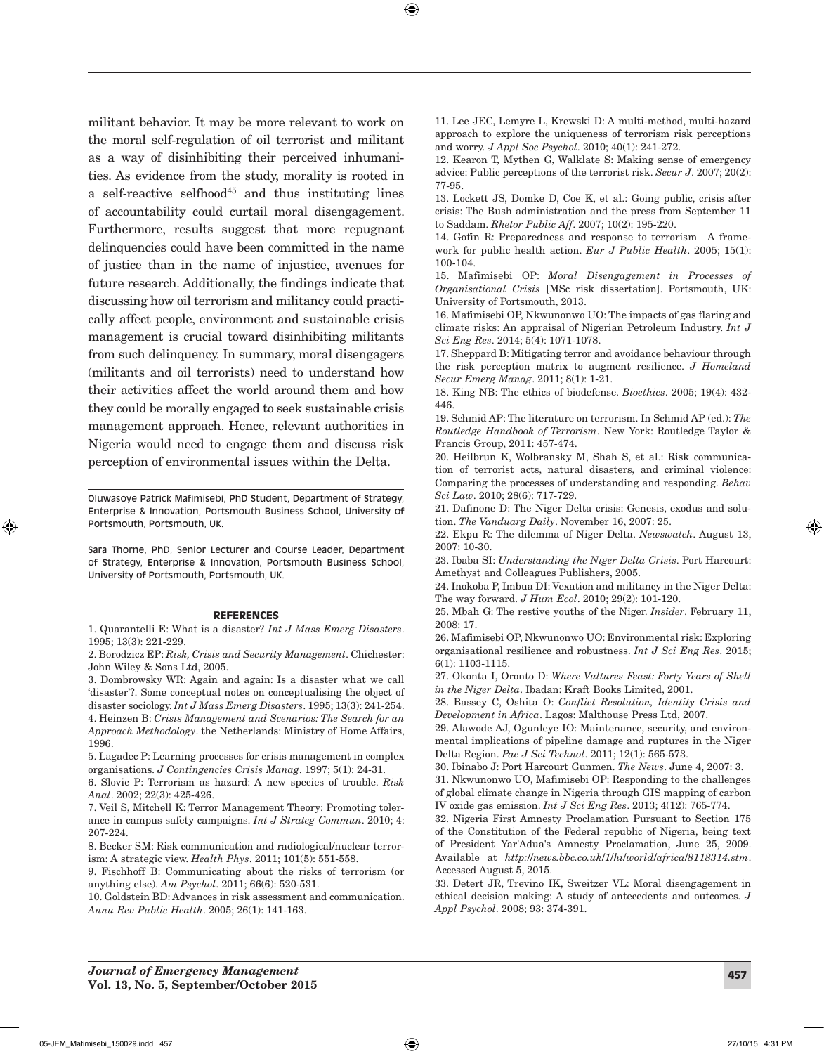militant behavior. It may be more relevant to work on the moral self-regulation of oil terrorist and militant as a way of disinhibiting their perceived inhumanities. As evidence from the study, morality is rooted in a self-reactive selfhood<sup>45</sup> and thus instituting lines of accountability could curtail moral disengagement. Furthermore, results suggest that more repugnant delinquencies could have been committed in the name of justice than in the name of injustice, avenues for future research. Additionally, the findings indicate that discussing how oil terrorism and militancy could practically affect people, environment and sustainable crisis management is crucial toward disinhibiting militants from such delinquency. In summary, moral disengagers (militants and oil terrorists) need to understand how their activities affect the world around them and how they could be morally engaged to seek sustainable crisis management approach. Hence, relevant authorities in Nigeria would need to engage them and discuss risk perception of environmental issues within the Delta.

Oluwasoye Patrick Mafimisebi, PhD Student, Department of Strategy, Enterprise & Innovation, Portsmouth Business School, University of Portsmouth, Portsmouth, UK.

Sara Thorne, PhD, Senior Lecturer and Course Leader, Department of Strategy, Enterprise & Innovation, Portsmouth Business School, University of Portsmouth, Portsmouth, UK.

#### REFERENCES

1. Quarantelli E: What is a disaster? *Int J Mass Emerg Disasters*. 1995; 13(3): 221-229.

2. Borodzicz EP: *Risk, Crisis and Security Management*. Chichester: John Wiley & Sons Ltd, 2005.

3. Dombrowsky WR: Again and again: Is a disaster what we call 'disaster'?. Some conceptual notes on conceptualising the object of disaster sociology. *Int J Mass Emerg Disasters*. 1995; 13(3): 241-254. 4. Heinzen B: *Crisis Management and Scenarios: The Search for an Approach Methodology*. the Netherlands: Ministry of Home Affairs, 1996.

5. Lagadec P: Learning processes for crisis management in complex organisations. *J Contingencies Crisis Manag*. 1997; 5(1): 24-31.

6. Slovic P: Terrorism as hazard: A new species of trouble. *Risk Anal*. 2002; 22(3): 425-426.

7. Veil S, Mitchell K: Terror Management Theory: Promoting tolerance in campus safety campaigns. *Int J Strateg Commun*. 2010; 4: 207-224.

8. Becker SM: Risk communication and radiological/nuclear terrorism: A strategic view. *Health Phys*. 2011; 101(5): 551-558.

9. Fischhoff B: Communicating about the risks of terrorism (or anything else). *Am Psychol*. 2011; 66(6): 520-531.

10. Goldstein BD: Advances in risk assessment and communication. *Annu Rev Public Health*. 2005; 26(1): 141-163.

11. Lee JEC, Lemyre L, Krewski D: A multi-method, multi-hazard approach to explore the uniqueness of terrorism risk perceptions and worry. *J Appl Soc Psychol*. 2010; 40(1): 241-272.

12. Kearon T, Mythen G, Walklate S: Making sense of emergency advice: Public perceptions of the terrorist risk. *Secur J*. 2007; 20(2): 77-95.

13. Lockett JS, Domke D, Coe K, et al.: Going public, crisis after crisis: The Bush administration and the press from September 11 to Saddam. *Rhetor Public Aff*. 2007; 10(2): 195-220.

14. Gofin R: Preparedness and response to terrorism—A framework for public health action. *Eur J Public Health*. 2005; 15(1): 100-104.

15. Mafimisebi OP: *Moral Disengagement in Processes of Organisational Crisis* [MSc risk dissertation]. Portsmouth, UK: University of Portsmouth, 2013.

16. Mafimisebi OP, Nkwunonwo UO: The impacts of gas flaring and climate risks: An appraisal of Nigerian Petroleum Industry. *Int J Sci Eng Res*. 2014; 5(4): 1071-1078.

17. Sheppard B: Mitigating terror and avoidance behaviour through the risk perception matrix to augment resilience. *J Homeland Secur Emerg Manag*. 2011; 8(1): 1-21.

18. King NB: The ethics of biodefense. *Bioethics*. 2005; 19(4): 432- 446.

19. Schmid AP: The literature on terrorism. In Schmid AP (ed.): *The Routledge Handbook of Terrorism*. New York: Routledge Taylor & Francis Group, 2011: 457-474.

20. Heilbrun K, Wolbransky M, Shah S, et al.: Risk communication of terrorist acts, natural disasters, and criminal violence: Comparing the processes of understanding and responding. *Behav Sci Law*. 2010; 28(6): 717-729.

21. Dafinone D: The Niger Delta crisis: Genesis, exodus and solution. *The Vanduarg Daily*. November 16, 2007: 25.

22. Ekpu R: The dilemma of Niger Delta. *Newswatch*. August 13, 2007: 10-30.

23. Ibaba SI: *Understanding the Niger Delta Crisis*. Port Harcourt: Amethyst and Colleagues Publishers, 2005.

24. Inokoba P, Imbua DI: Vexation and militancy in the Niger Delta: The way forward. *J Hum Ecol*. 2010; 29(2): 101-120.

25. Mbah G: The restive youths of the Niger. *Insider*. February 11, 2008: 17.

26. Mafimisebi OP, Nkwunonwo UO: Environmental risk: Exploring organisational resilience and robustness. *Int J Sci Eng Res*. 2015; 6(1): 1103-1115.

27. Okonta I, Oronto D: *Where Vultures Feast: Forty Years of Shell in the Niger Delta*. Ibadan: Kraft Books Limited, 2001.

28. Bassey C, Oshita O: *Conflict Resolution, Identity Crisis and Development in Africa*. Lagos: Malthouse Press Ltd, 2007.

29. Alawode AJ, Ogunleye IO: Maintenance, security, and environmental implications of pipeline damage and ruptures in the Niger Delta Region. *Pac J Sci Technol*. 2011; 12(1): 565-573.

30. Ibinabo J: Port Harcourt Gunmen. *The News*. June 4, 2007: 3.

31. Nkwunonwo UO, Mafimisebi OP: Responding to the challenges of global climate change in Nigeria through GIS mapping of carbon IV oxide gas emission. *Int J Sci Eng Res*. 2013; 4(12): 765-774.

32. Nigeria First Amnesty Proclamation Pursuant to Section 175 of the Constitution of the Federal republic of Nigeria, being text of President Yar'Adua's Amnesty Proclamation, June 25, 2009. Available at *http:*//*news.bbc.co.uk*/*1*/*hi*/*world*/*africa*/*8118314.stm*. Accessed August 5, 2015.

33. Detert JR, Trevino IK, Sweitzer VL: Moral disengagement in ethical decision making: A study of antecedents and outcomes. *J Appl Psychol*. 2008; 93: 374-391.